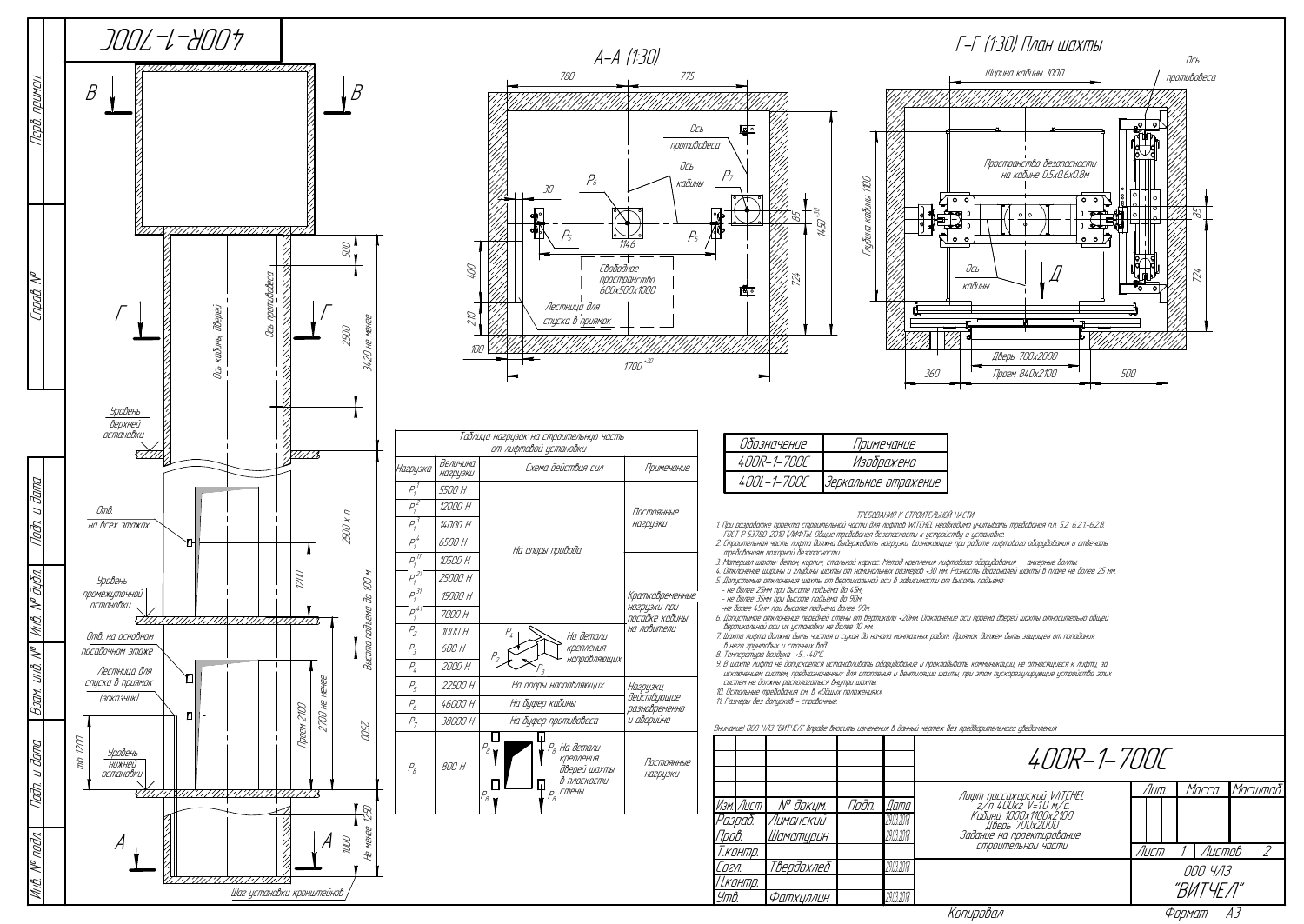| <i>400R-1-700C</i>                                                                                                 |          |  |  |          |                 |                          |
|--------------------------------------------------------------------------------------------------------------------|----------|--|--|----------|-----------------|--------------------------|
| Лифт пассажирский WITCHEL<br>2/n 400к2 V=1.0 м/с.<br>Каби <u>н</u> а 100 <u>0х1100х2</u> 100<br>СТРОИТЕЛЬНОИ ЧАСТИ | Лит.     |  |  |          | Масса   Масштаб |                          |
|                                                                                                                    |          |  |  |          |                 |                          |
|                                                                                                                    | Лист     |  |  | 1 Листов |                 | $\overline{\phantom{a}}$ |
|                                                                                                                    | 000 4/13 |  |  |          |                 |                          |
|                                                                                                                    | "ВИТЧЕЛ" |  |  |          |                 |                          |
| Копировал                                                                                                          |          |  |  | рмат     | $A$ 3           |                          |